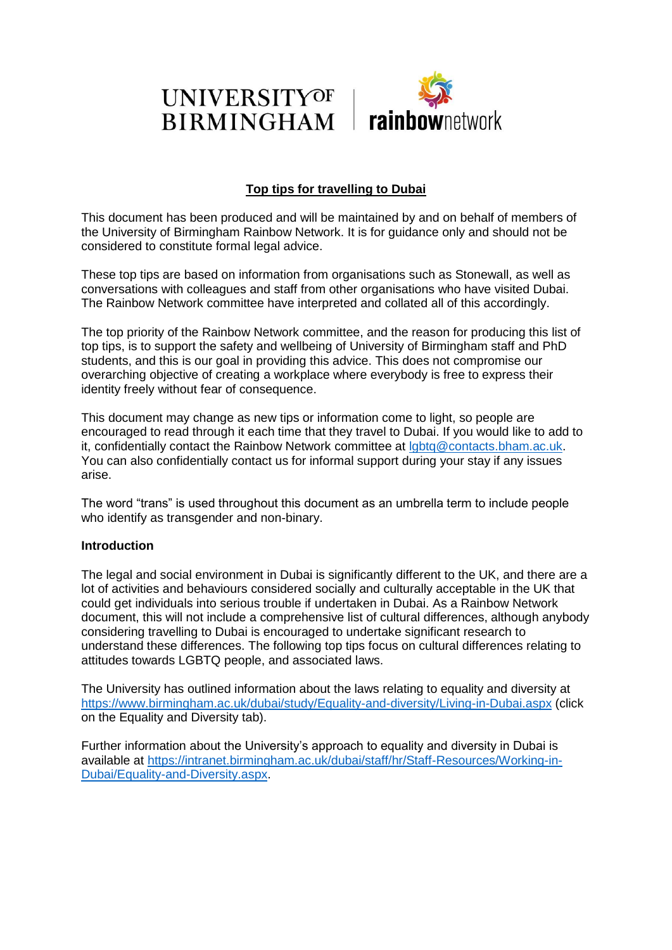

### **Top tips for travelling to Dubai**

This document has been produced and will be maintained by and on behalf of members of the University of Birmingham Rainbow Network. It is for guidance only and should not be considered to constitute formal legal advice.

These top tips are based on information from organisations such as Stonewall, as well as conversations with colleagues and staff from other organisations who have visited Dubai. The Rainbow Network committee have interpreted and collated all of this accordingly.

The top priority of the Rainbow Network committee, and the reason for producing this list of top tips, is to support the safety and wellbeing of University of Birmingham staff and PhD students, and this is our goal in providing this advice. This does not compromise our overarching objective of creating a workplace where everybody is free to express their identity freely without fear of consequence.

This document may change as new tips or information come to light, so people are encouraged to read through it each time that they travel to Dubai. If you would like to add to it, confidentially contact the Rainbow Network committee at [lgbtq@contacts.bham.ac.uk.](mailto:lgbtq@contacts.bham.ac.uk) You can also confidentially contact us for informal support during your stay if any issues arise.

The word "trans" is used throughout this document as an umbrella term to include people who identify as transgender and non-binary.

#### **Introduction**

The legal and social environment in Dubai is significantly different to the UK, and there are a lot of activities and behaviours considered socially and culturally acceptable in the UK that could get individuals into serious trouble if undertaken in Dubai. As a Rainbow Network document, this will not include a comprehensive list of cultural differences, although anybody considering travelling to Dubai is encouraged to undertake significant research to understand these differences. The following top tips focus on cultural differences relating to attitudes towards LGBTQ people, and associated laws.

The University has outlined information about the laws relating to equality and diversity at <https://www.birmingham.ac.uk/dubai/study/Equality-and-diversity/Living-in-Dubai.aspx> (click on the Equality and Diversity tab).

Further information about the University's approach to equality and diversity in Dubai is available at [https://intranet.birmingham.ac.uk/dubai/staff/hr/Staff-Resources/Working-in-](https://intranet.birmingham.ac.uk/dubai/staff/hr/Staff-Resources/Working-in-Dubai/Equality-and-Diversity.aspx)[Dubai/Equality-and-Diversity.aspx.](https://intranet.birmingham.ac.uk/dubai/staff/hr/Staff-Resources/Working-in-Dubai/Equality-and-Diversity.aspx)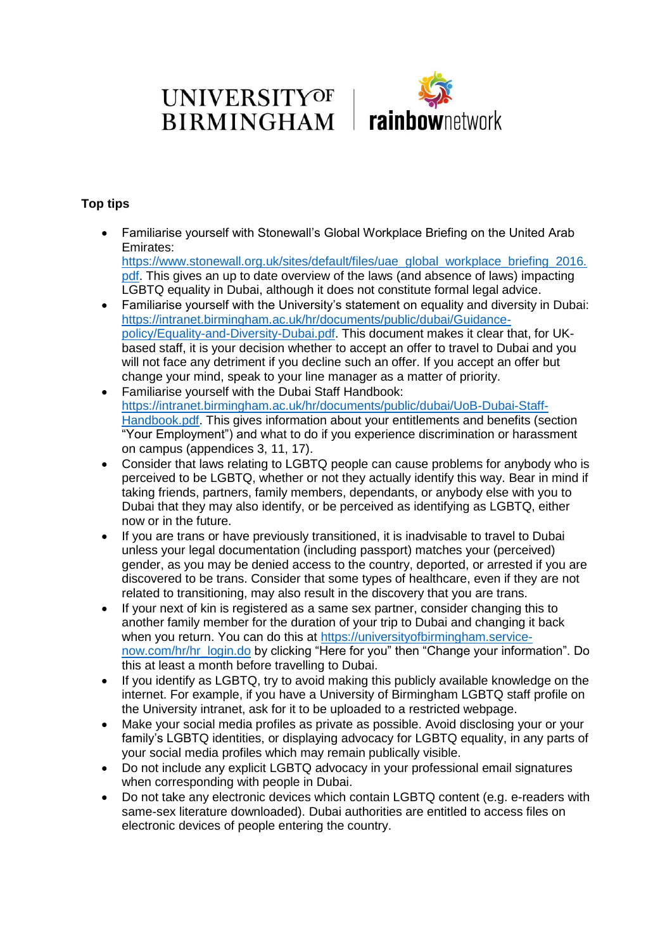## **UNIVERSITYOF BIRMINGHAM**



### **Top tips**

 Familiarise yourself with Stonewall's Global Workplace Briefing on the United Arab Emirates: [https://www.stonewall.org.uk/sites/default/files/uae\\_global\\_workplace\\_briefing\\_2016.](https://www.stonewall.org.uk/sites/default/files/uae_global_workplace_briefing_2016.pdf)

[pdf.](https://www.stonewall.org.uk/sites/default/files/uae_global_workplace_briefing_2016.pdf) This gives an up to date overview of the laws (and absence of laws) impacting LGBTQ equality in Dubai, although it does not constitute formal legal advice.

- Familiarise yourself with the University's statement on equality and diversity in Dubai: [https://intranet.birmingham.ac.uk/hr/documents/public/dubai/Guidance](https://intranet.birmingham.ac.uk/hr/documents/public/dubai/Guidance-policy/Equality-and-Diversity-Dubai.pdf)[policy/Equality-and-Diversity-Dubai.pdf.](https://intranet.birmingham.ac.uk/hr/documents/public/dubai/Guidance-policy/Equality-and-Diversity-Dubai.pdf) This document makes it clear that, for UKbased staff, it is your decision whether to accept an offer to travel to Dubai and you will not face any detriment if you decline such an offer. If you accept an offer but change your mind, speak to your line manager as a matter of priority.
- Familiarise yourself with the Dubai Staff Handbook: [https://intranet.birmingham.ac.uk/hr/documents/public/dubai/UoB-Dubai-Staff-](https://intranet.birmingham.ac.uk/hr/documents/public/dubai/UoB-Dubai-Staff-Handbook.pdf)[Handbook.pdf.](https://intranet.birmingham.ac.uk/hr/documents/public/dubai/UoB-Dubai-Staff-Handbook.pdf) This gives information about your entitlements and benefits (section "Your Employment") and what to do if you experience discrimination or harassment on campus (appendices 3, 11, 17).
- Consider that laws relating to LGBTQ people can cause problems for anybody who is perceived to be LGBTQ, whether or not they actually identify this way. Bear in mind if taking friends, partners, family members, dependants, or anybody else with you to Dubai that they may also identify, or be perceived as identifying as LGBTQ, either now or in the future.
- If you are trans or have previously transitioned, it is inadvisable to travel to Dubai unless your legal documentation (including passport) matches your (perceived) gender, as you may be denied access to the country, deported, or arrested if you are discovered to be trans. Consider that some types of healthcare, even if they are not related to transitioning, may also result in the discovery that you are trans.
- If your next of kin is registered as a same sex partner, consider changing this to another family member for the duration of your trip to Dubai and changing it back when you return. You can do this at [https://universityofbirmingham.service](https://universityofbirmingham.service-now.com/hr/hr_login.do)[now.com/hr/hr\\_login.do](https://universityofbirmingham.service-now.com/hr/hr_login.do) by clicking "Here for you" then "Change your information". Do this at least a month before travelling to Dubai.
- If you identify as LGBTQ, try to avoid making this publicly available knowledge on the internet. For example, if you have a University of Birmingham LGBTQ staff profile on the University intranet, ask for it to be uploaded to a restricted webpage.
- Make your social media profiles as private as possible. Avoid disclosing your or your family's LGBTQ identities, or displaying advocacy for LGBTQ equality, in any parts of your social media profiles which may remain publically visible.
- Do not include any explicit LGBTQ advocacy in your professional email signatures when corresponding with people in Dubai.
- Do not take any electronic devices which contain LGBTQ content (e.g. e-readers with same-sex literature downloaded). Dubai authorities are entitled to access files on electronic devices of people entering the country.